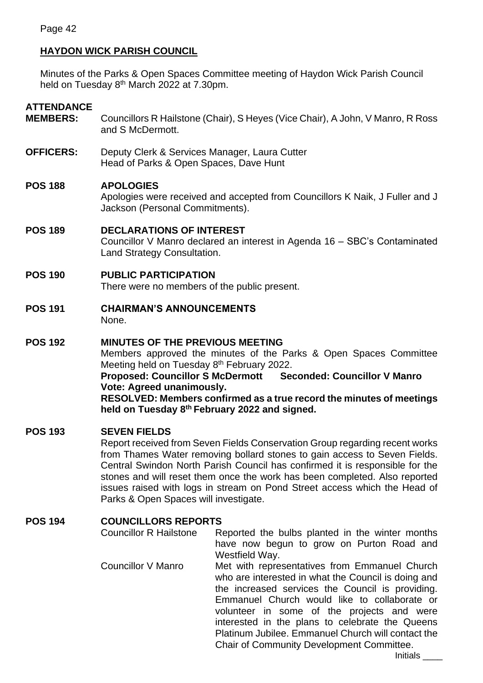# **HAYDON WICK PARISH COUNCIL**

Minutes of the Parks & Open Spaces Committee meeting of Haydon Wick Parish Council held on Tuesday 8<sup>th</sup> March 2022 at 7.30pm.

## **ATTENDANCE**

- **MEMBERS:** Councillors R Hailstone (Chair), S Heyes (Vice Chair), A John, V Manro, R Ross and S McDermott.
- **OFFICERS:** Deputy Clerk & Services Manager, Laura Cutter Head of Parks & Open Spaces, Dave Hunt

#### **POS 188 APOLOGIES**

Apologies were received and accepted from Councillors K Naik, J Fuller and J Jackson (Personal Commitments).

#### **POS 189 DECLARATIONS OF INTEREST**

Councillor V Manro declared an interest in Agenda 16 – SBC's Contaminated Land Strategy Consultation.

## **POS 190 PUBLIC PARTICIPATION**

There were no members of the public present.

**POS 191 CHAIRMAN'S ANNOUNCEMENTS** None.

# **POS 192 MINUTES OF THE PREVIOUS MEETING**

Members approved the minutes of the Parks & Open Spaces Committee Meeting held on Tuesday 8<sup>th</sup> February 2022. **Proposed: Councillor S McDermott Seconded: Councillor V Manro**

#### **Vote: Agreed unanimously.**

**RESOLVED: Members confirmed as a true record the minutes of meetings held on Tuesday 8 th February 2022 and signed.**

#### **POS 193 SEVEN FIELDS**

Report received from Seven Fields Conservation Group regarding recent works from Thames Water removing bollard stones to gain access to Seven Fields. Central Swindon North Parish Council has confirmed it is responsible for the stones and will reset them once the work has been completed. Also reported issues raised with logs in stream on Pond Street access which the Head of Parks & Open Spaces will investigate.

# **POS 194 COUNCILLORS REPORTS**

Councillor R Hailstone Reported the bulbs planted in the winter months have now begun to grow on Purton Road and Westfield Way. Councillor V Manro Met with representatives from Emmanuel Church who are interested in what the Council is doing and the increased services the Council is providing. Emmanuel Church would like to collaborate or volunteer in some of the projects and were interested in the plans to celebrate the Queens Platinum Jubilee. Emmanuel Church will contact the Chair of Community Development Committee.

Initials \_\_\_\_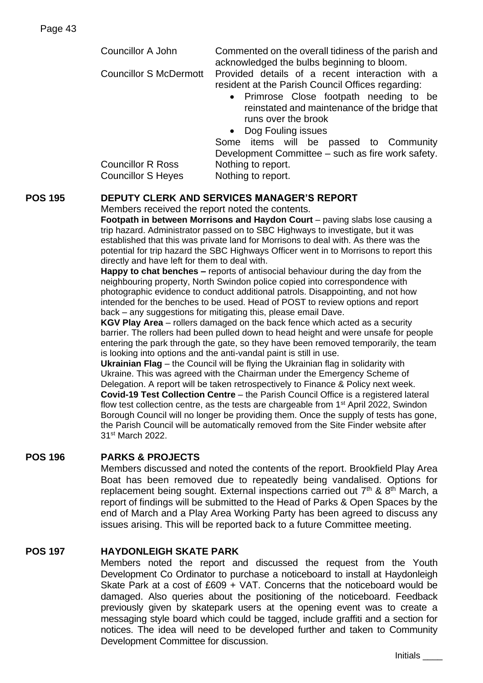| Councillor A John                       | Commented on th<br>acknowledged the |  |
|-----------------------------------------|-------------------------------------|--|
|                                         |                                     |  |
| Councillor S McDermott Provided details |                                     |  |
|                                         |                                     |  |

e overall tidiness of the parish and e bulbs beginning to bloom.

of a recent interaction with a resident at the Parish Council Offices regarding:

- Primrose Close footpath needing to be reinstated and maintenance of the bridge that runs over the brook
- Dog Fouling issues

Some items will be passed to Community Development Committee – such as fire work safety.

Councillor R Ross Nothing to report. Councillor S Heves Nothing to report.

# **POS 195 DEPUTY CLERK AND SERVICES MANAGER'S REPORT**

## Members received the report noted the contents.

**Footpath in between Morrisons and Haydon Court** – paving slabs lose causing a trip hazard. Administrator passed on to SBC Highways to investigate, but it was established that this was private land for Morrisons to deal with. As there was the potential for trip hazard the SBC Highways Officer went in to Morrisons to report this directly and have left for them to deal with.

**Happy to chat benches –** reports of antisocial behaviour during the day from the neighbouring property, North Swindon police copied into correspondence with photographic evidence to conduct additional patrols. Disappointing, and not how intended for the benches to be used. Head of POST to review options and report back – any suggestions for mitigating this, please email Dave.

**KGV Play Area** – rollers damaged on the back fence which acted as a security barrier. The rollers had been pulled down to head height and were unsafe for people entering the park through the gate, so they have been removed temporarily, the team is looking into options and the anti-vandal paint is still in use.

**Ukrainian Flag** – the Council will be flying the Ukrainian flag in solidarity with Ukraine. This was agreed with the Chairman under the Emergency Scheme of Delegation. A report will be taken retrospectively to Finance & Policy next week. **Covid-19 Test Collection Centre** – the Parish Council Office is a registered lateral flow test collection centre, as the tests are chargeable from  $1<sup>st</sup>$  April 2022, Swindon Borough Council will no longer be providing them. Once the supply of tests has gone, the Parish Council will be automatically removed from the Site Finder website after 31st March 2022.

# **POS 196 PARKS & PROJECTS**

Members discussed and noted the contents of the report. Brookfield Play Area Boat has been removed due to repeatedly being vandalised. Options for replacement being sought. External inspections carried out  $7<sup>th</sup>$  &  $8<sup>th</sup>$  March, a report of findings will be submitted to the Head of Parks & Open Spaces by the end of March and a Play Area Working Party has been agreed to discuss any issues arising. This will be reported back to a future Committee meeting.

# **POS 197 HAYDONLEIGH SKATE PARK**

Members noted the report and discussed the request from the Youth Development Co Ordinator to purchase a noticeboard to install at Haydonleigh Skate Park at a cost of £609 + VAT. Concerns that the noticeboard would be damaged. Also queries about the positioning of the noticeboard. Feedback previously given by skatepark users at the opening event was to create a messaging style board which could be tagged, include graffiti and a section for notices. The idea will need to be developed further and taken to Community Development Committee for discussion.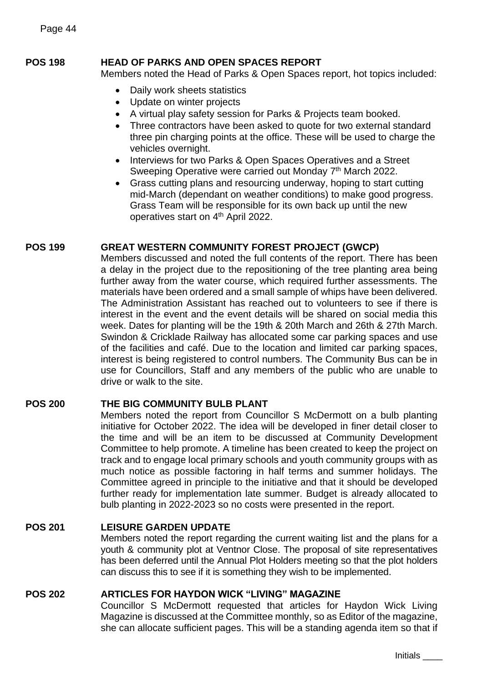## **POS 198 HEAD OF PARKS AND OPEN SPACES REPORT**

Members noted the Head of Parks & Open Spaces report, hot topics included:

- Daily work sheets statistics
- Update on winter projects
- A virtual play safety session for Parks & Projects team booked.
- Three contractors have been asked to quote for two external standard three pin charging points at the office. These will be used to charge the vehicles overnight.
- Interviews for two Parks & Open Spaces Operatives and a Street Sweeping Operative were carried out Monday 7<sup>th</sup> March 2022.
- Grass cutting plans and resourcing underway, hoping to start cutting mid-March (dependant on weather conditions) to make good progress. Grass Team will be responsible for its own back up until the new operatives start on 4<sup>th</sup> April 2022.

#### **POS 199 GREAT WESTERN COMMUNITY FOREST PROJECT (GWCP)**

Members discussed and noted the full contents of the report. There has been a delay in the project due to the repositioning of the tree planting area being further away from the water course, which required further assessments. The materials have been ordered and a small sample of whips have been delivered. The Administration Assistant has reached out to volunteers to see if there is interest in the event and the event details will be shared on social media this week. Dates for planting will be the 19th & 20th March and 26th & 27th March. Swindon & Cricklade Railway has allocated some car parking spaces and use of the facilities and café. Due to the location and limited car parking spaces, interest is being registered to control numbers. The Community Bus can be in use for Councillors, Staff and any members of the public who are unable to drive or walk to the site.

#### **POS 200 THE BIG COMMUNITY BULB PLANT**

Members noted the report from Councillor S McDermott on a bulb planting initiative for October 2022. The idea will be developed in finer detail closer to the time and will be an item to be discussed at Community Development Committee to help promote. A timeline has been created to keep the project on track and to engage local primary schools and youth community groups with as much notice as possible factoring in half terms and summer holidays. The Committee agreed in principle to the initiative and that it should be developed further ready for implementation late summer. Budget is already allocated to bulb planting in 2022-2023 so no costs were presented in the report.

#### **POS 201 LEISURE GARDEN UPDATE**

Members noted the report regarding the current waiting list and the plans for a youth & community plot at Ventnor Close. The proposal of site representatives has been deferred until the Annual Plot Holders meeting so that the plot holders can discuss this to see if it is something they wish to be implemented.

#### **POS 202 ARTICLES FOR HAYDON WICK "LIVING" MAGAZINE**

Councillor S McDermott requested that articles for Haydon Wick Living Magazine is discussed at the Committee monthly, so as Editor of the magazine, she can allocate sufficient pages. This will be a standing agenda item so that if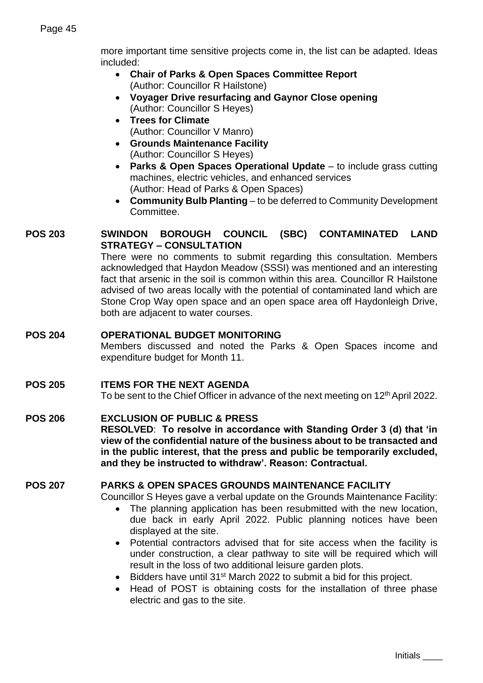more important time sensitive projects come in, the list can be adapted. Ideas included:

- **Chair of Parks & Open Spaces Committee Report**  (Author: Councillor R Hailstone)
- **Voyager Drive resurfacing and Gaynor Close opening**  (Author: Councillor S Heyes)
- **Trees for Climate**  (Author: Councillor V Manro)
- **Grounds Maintenance Facility**  (Author: Councillor S Heyes)
- **Parks & Open Spaces Operational Update** to include grass cutting machines, electric vehicles, and enhanced services (Author: Head of Parks & Open Spaces)
- **Community Bulb Planting**  to be deferred to Community Development Committee.

# **POS 203 SWINDON BOROUGH COUNCIL (SBC) CONTAMINATED LAND STRATEGY – CONSULTATION**

There were no comments to submit regarding this consultation. Members acknowledged that Haydon Meadow (SSSI) was mentioned and an interesting fact that arsenic in the soil is common within this area. Councillor R Hailstone advised of two areas locally with the potential of contaminated land which are Stone Crop Way open space and an open space area off Haydonleigh Drive, both are adjacent to water courses.

# **POS 204 OPERATIONAL BUDGET MONITORING**

Members discussed and noted the Parks & Open Spaces income and expenditure budget for Month 11.

# **POS 205 ITEMS FOR THE NEXT AGENDA**

To be sent to the Chief Officer in advance of the next meeting on  $12<sup>th</sup>$  April 2022.

#### **POS 206 EXCLUSION OF PUBLIC & PRESS**

**RESOLVED**: **To resolve in accordance with Standing Order 3 (d) that 'in view of the confidential nature of the business about to be transacted and in the public interest, that the press and public be temporarily excluded, and they be instructed to withdraw'. Reason: Contractual.**

# **POS 207 PARKS & OPEN SPACES GROUNDS MAINTENANCE FACILITY**

Councillor S Heyes gave a verbal update on the Grounds Maintenance Facility:

- The planning application has been resubmitted with the new location, due back in early April 2022. Public planning notices have been displayed at the site.
- Potential contractors advised that for site access when the facility is under construction, a clear pathway to site will be required which will result in the loss of two additional leisure garden plots.
- Bidders have until 31<sup>st</sup> March 2022 to submit a bid for this project.
- Head of POST is obtaining costs for the installation of three phase electric and gas to the site.